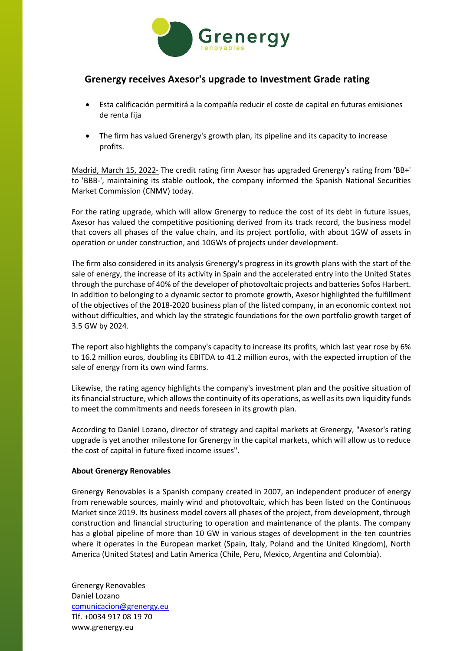

## **Grenergy receives Axesor's upgrade to Investment Grade rating**

- Esta calificación permitirá a la compañía reducir el coste de capital en futuras emisiones de renta fija
- The firm has valued Grenergy's growth plan, its pipeline and its capacity to increase profits.

Madrid, March 15, 2022- The credit rating firm Axesor has upgraded Grenergy's rating from 'BB+' to 'BBB-', maintaining its stable outlook, the company informed the Spanish National Securities Market Commission (CNMV) today.

For the rating upgrade, which will allow Grenergy to reduce the cost of its debt in future issues, Axesor has valued the competitive positioning derived from its track record, the business model that covers all phases of the value chain, and its project portfolio, with about 1GW of assets in operation or under construction, and 10GWs of projects under development.

The firm also considered in its analysis Grenergy's progress in its growth plans with the start of the sale of energy, the increase of its activity in Spain and the accelerated entry into the United States through the purchase of 40% of the developer of photovoltaic projects and batteries Sofos Harbert. In addition to belonging to a dynamic sector to promote growth, Axesor highlighted the fulfillment of the objectives of the 2018-2020 business plan of the listed company, in an economic context not without difficulties, and which lay the strategic foundations for the own portfolio growth target of 3.5 GW by 2024.

The report also highlights the company's capacity to increase its profits, which last year rose by 6% to 16.2 million euros, doubling its EBITDA to 41.2 million euros, with the expected irruption of the sale of energy from its own wind farms.

Likewise, the rating agency highlights the company's investment plan and the positive situation of its financial structure, which allows the continuity of its operations, as well as its own liquidity funds to meet the commitments and needs foreseen in its growth plan.

According to Daniel Lozano, director of strategy and capital markets at Grenergy, "Axesor's rating upgrade is yet another milestone for Grenergy in the capital markets, which will allow us to reduce the cost of capital in future fixed income issues".

## **About Grenergy Renovables**

Grenergy Renovables is a Spanish company created in 2007, an independent producer of energy from renewable sources, mainly wind and photovoltaic, which has been listed on the Continuous Market since 2019. Its business model covers all phases of the project, from development, through construction and financial structuring to operation and maintenance of the plants. The company has a global pipeline of more than 10 GW in various stages of development in the ten countries where it operates in the European market (Spain, Italy, Poland and the United Kingdom), North America (United States) and Latin America (Chile, Peru, Mexico, Argentina and Colombia).

Grenergy Renovables Daniel Lozano comunicacion@grenergy.eu Tlf. +0034 917 08 19 70 www.grenergy.eu